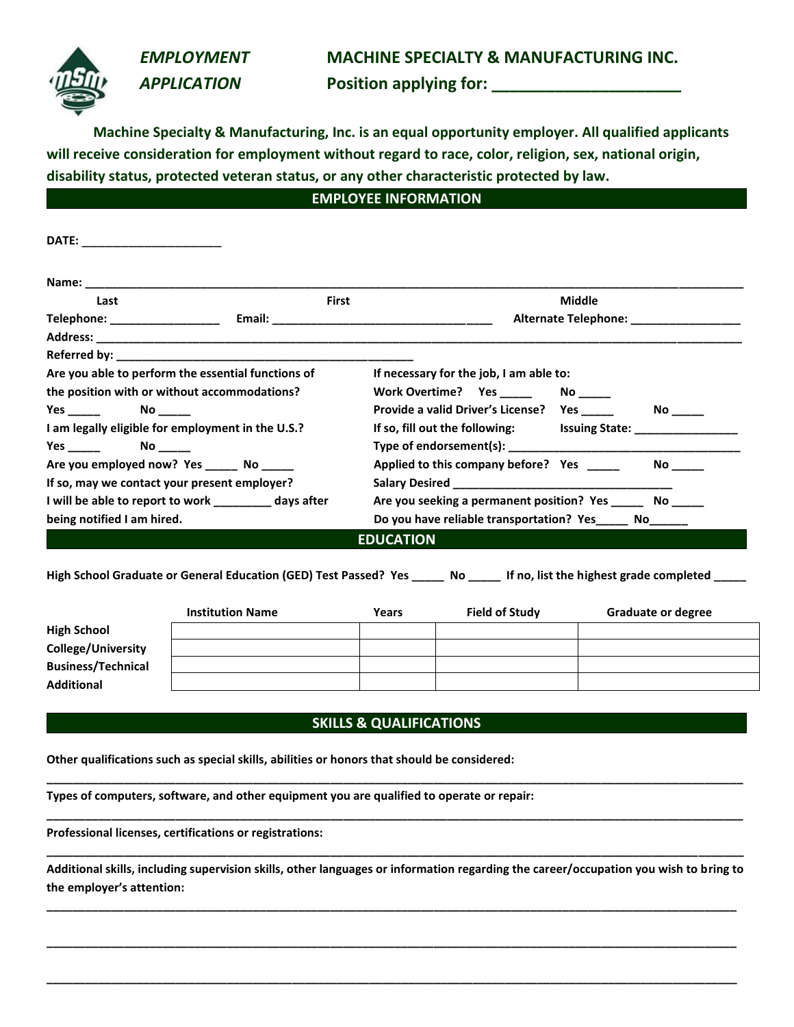### *EMPLOYMENT* **MACHINE SPECIALTY & MANUFACTURING INC.**

 *APPLICATION* **Position applying for: \_\_\_\_\_\_\_\_\_\_\_\_\_\_\_\_\_\_\_\_\_**

**Machine Specialty & Manufacturing, Inc. is an equal opportunity employer. All qualified applicants will receive consideration for employment without regard to race, color, religion, sex, national origin, disability status, protected veteran status, or any other characteristic protected by law.**

## **EMPLOYEE INFORMATION**

| DATE: _____________________                           |                                                                |                                         |               |  |
|-------------------------------------------------------|----------------------------------------------------------------|-----------------------------------------|---------------|--|
|                                                       |                                                                |                                         |               |  |
| Last                                                  | First                                                          |                                         | <b>Middle</b> |  |
|                                                       |                                                                | Alternate Telephone: __________________ |               |  |
|                                                       |                                                                |                                         |               |  |
|                                                       |                                                                |                                         |               |  |
| Are you able to perform the essential functions of    |                                                                | If necessary for the job, I am able to: |               |  |
| the position with or without accommodations?          | Work Overtime? Yes ________ No ______                          |                                         |               |  |
| $Yes$ No $N$                                          |                                                                |                                         |               |  |
| I am legally eligible for employment in the U.S.?     | If so, fill out the following: Issuing State: ________________ |                                         |               |  |
| $Yes \_$ $No \_$                                      |                                                                |                                         |               |  |
| Are you employed now? Yes _______ No ______           | Applied to this company before? Yes _____                      |                                         |               |  |
| If so, may we contact your present employer?          |                                                                |                                         |               |  |
| I will be able to report to work _________ days after | Are you seeking a permanent position? Yes _______ No ______    |                                         |               |  |
| being notified I am hired.                            | Do you have reliable transportation? Yes______ No______        |                                         |               |  |
|                                                       | <b>EDUCATION</b>                                               |                                         |               |  |

**High School Graduate or General Education (GED) Test Passed? Yes \_\_\_\_\_ No \_\_\_\_\_ If no, list the highest grade completed \_\_\_\_\_**

| <b>Institution Name</b> | Years | <b>Field of Study</b> | <b>Graduate or degree</b> |
|-------------------------|-------|-----------------------|---------------------------|
|                         |       |                       |                           |
|                         |       |                       |                           |
|                         |       |                       |                           |
|                         |       |                       |                           |
|                         |       |                       |                           |

#### **SKILLS & QUALIFICATIONS**

**\_\_\_\_\_\_\_\_\_\_\_\_\_\_\_\_\_\_\_\_\_\_\_\_\_\_\_\_\_\_\_\_\_\_\_\_\_\_\_\_\_\_\_\_\_\_\_\_\_\_\_\_\_\_\_\_\_\_\_\_\_\_\_\_\_\_\_\_\_\_\_\_\_\_\_\_\_\_\_\_\_\_\_\_\_\_\_\_\_\_\_\_\_\_\_\_\_\_\_\_\_\_\_\_\_\_\_\_**

**\_\_\_\_\_\_\_\_\_\_\_\_\_\_\_\_\_\_\_\_\_\_\_\_\_\_\_\_\_\_\_\_\_\_\_\_\_\_\_\_\_\_\_\_\_\_\_\_\_\_\_\_\_\_\_\_\_\_\_\_\_\_\_\_\_\_\_\_\_\_\_\_\_\_\_\_\_\_\_\_\_\_\_\_\_\_\_\_\_\_\_\_\_\_\_\_\_\_\_\_\_\_\_\_\_\_\_\_**

**Other qualifications such as special skills, abilities or honors that should be considered:**

**Types of computers, software, and other equipment you are qualified to operate or repair:**

**Professional licenses, certifications or registrations:**

**Additional skills, including supervision skills, other languages or information regarding the career/occupation you wish to bring to the employer's attention:**

**\_\_\_\_\_\_\_\_\_\_\_\_\_\_\_\_\_\_\_\_\_\_\_\_\_\_\_\_\_\_\_\_\_\_\_\_\_\_\_\_\_\_\_\_\_\_\_\_\_\_\_\_\_\_\_\_\_\_\_\_\_\_\_\_\_\_\_\_\_\_\_\_\_\_\_\_\_\_\_\_\_\_\_\_\_\_\_\_\_\_\_\_\_\_\_\_\_\_\_\_\_\_\_\_\_\_\_**

**\_\_\_\_\_\_\_\_\_\_\_\_\_\_\_\_\_\_\_\_\_\_\_\_\_\_\_\_\_\_\_\_\_\_\_\_\_\_\_\_\_\_\_\_\_\_\_\_\_\_\_\_\_\_\_\_\_\_\_\_\_\_\_\_\_\_\_\_\_\_\_\_\_\_\_\_\_\_\_\_\_\_\_\_\_\_\_\_\_\_\_\_\_\_\_\_\_\_\_\_\_\_\_\_\_\_\_**

**\_\_\_\_\_\_\_\_\_\_\_\_\_\_\_\_\_\_\_\_\_\_\_\_\_\_\_\_\_\_\_\_\_\_\_\_\_\_\_\_\_\_\_\_\_\_\_\_\_\_\_\_\_\_\_\_\_\_\_\_\_\_\_\_\_\_\_\_\_\_\_\_\_\_\_\_\_\_\_\_\_\_\_\_\_\_\_\_\_\_\_\_\_\_\_\_\_\_\_\_\_\_\_\_\_\_\_**

**\_\_\_\_\_\_\_\_\_\_\_\_\_\_\_\_\_\_\_\_\_\_\_\_\_\_\_\_\_\_\_\_\_\_\_\_\_\_\_\_\_\_\_\_\_\_\_\_\_\_\_\_\_\_\_\_\_\_\_\_\_\_\_\_\_\_\_\_\_\_\_\_\_\_\_\_\_\_\_\_\_\_\_\_\_\_\_\_\_\_\_\_\_\_\_\_\_\_\_\_\_\_\_\_\_\_\_\_**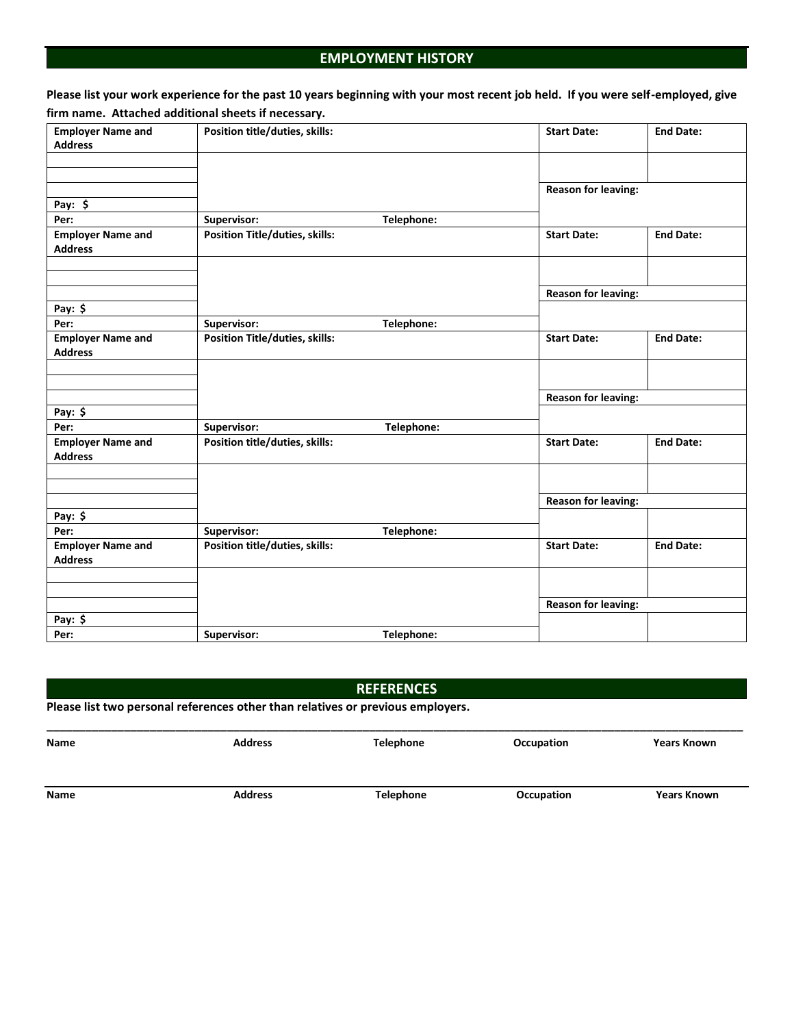## **EMPLOYMENT HISTORY**

**Please list your work experience for the past 10 years beginning with your most recent job held. If you were self-employed, give firm name. Attached additional sheets if necessary.**

| <b>Employer Name and</b>                   | Position title/duties, skills:        |            | <b>Start Date:</b>         | <b>End Date:</b> |
|--------------------------------------------|---------------------------------------|------------|----------------------------|------------------|
| <b>Address</b>                             |                                       |            |                            |                  |
|                                            |                                       |            |                            |                  |
|                                            |                                       |            |                            |                  |
|                                            |                                       |            | <b>Reason for leaving:</b> |                  |
| Pay: $$$                                   |                                       |            |                            |                  |
| Per:                                       | Supervisor:                           | Telephone: |                            |                  |
| <b>Employer Name and</b><br><b>Address</b> | Position Title/duties, skills:        |            | <b>Start Date:</b>         | <b>End Date:</b> |
|                                            |                                       |            |                            |                  |
|                                            |                                       |            | <b>Reason for leaving:</b> |                  |
| Pay: $$$                                   |                                       |            |                            |                  |
| Per:                                       | Supervisor:                           | Telephone: |                            |                  |
| <b>Employer Name and</b><br><b>Address</b> | <b>Position Title/duties, skills:</b> |            | <b>Start Date:</b>         | <b>End Date:</b> |
|                                            |                                       |            |                            |                  |
|                                            |                                       |            | <b>Reason for leaving:</b> |                  |
| Pay: $$$                                   |                                       |            |                            |                  |
| Per:                                       | Supervisor:                           | Telephone: |                            |                  |
| <b>Employer Name and</b><br><b>Address</b> | Position title/duties, skills:        |            | <b>Start Date:</b>         | <b>End Date:</b> |
|                                            |                                       |            |                            |                  |
|                                            |                                       |            | <b>Reason for leaving:</b> |                  |
| Pay: $$$                                   |                                       |            |                            |                  |
| Per:                                       | Supervisor:                           | Telephone: |                            |                  |
| <b>Employer Name and</b>                   | Position title/duties, skills:        |            | <b>Start Date:</b>         | <b>End Date:</b> |
| <b>Address</b>                             |                                       |            |                            |                  |
|                                            |                                       |            |                            |                  |
|                                            |                                       |            | <b>Reason for leaving:</b> |                  |
| Pay: \$                                    |                                       |            |                            |                  |
| Per:                                       | Supervisor:                           | Telephone: |                            |                  |

### **REFERENCES**

| Please list two personal references other than relatives or previous employers. |  |  |  |
|---------------------------------------------------------------------------------|--|--|--|
|---------------------------------------------------------------------------------|--|--|--|

| Name | <b>Address</b> | Telephone        | Occupation | <b>Years Known</b> |
|------|----------------|------------------|------------|--------------------|
| Name | <b>Address</b> | <b>Telephone</b> | Occupation | <b>Years Known</b> |